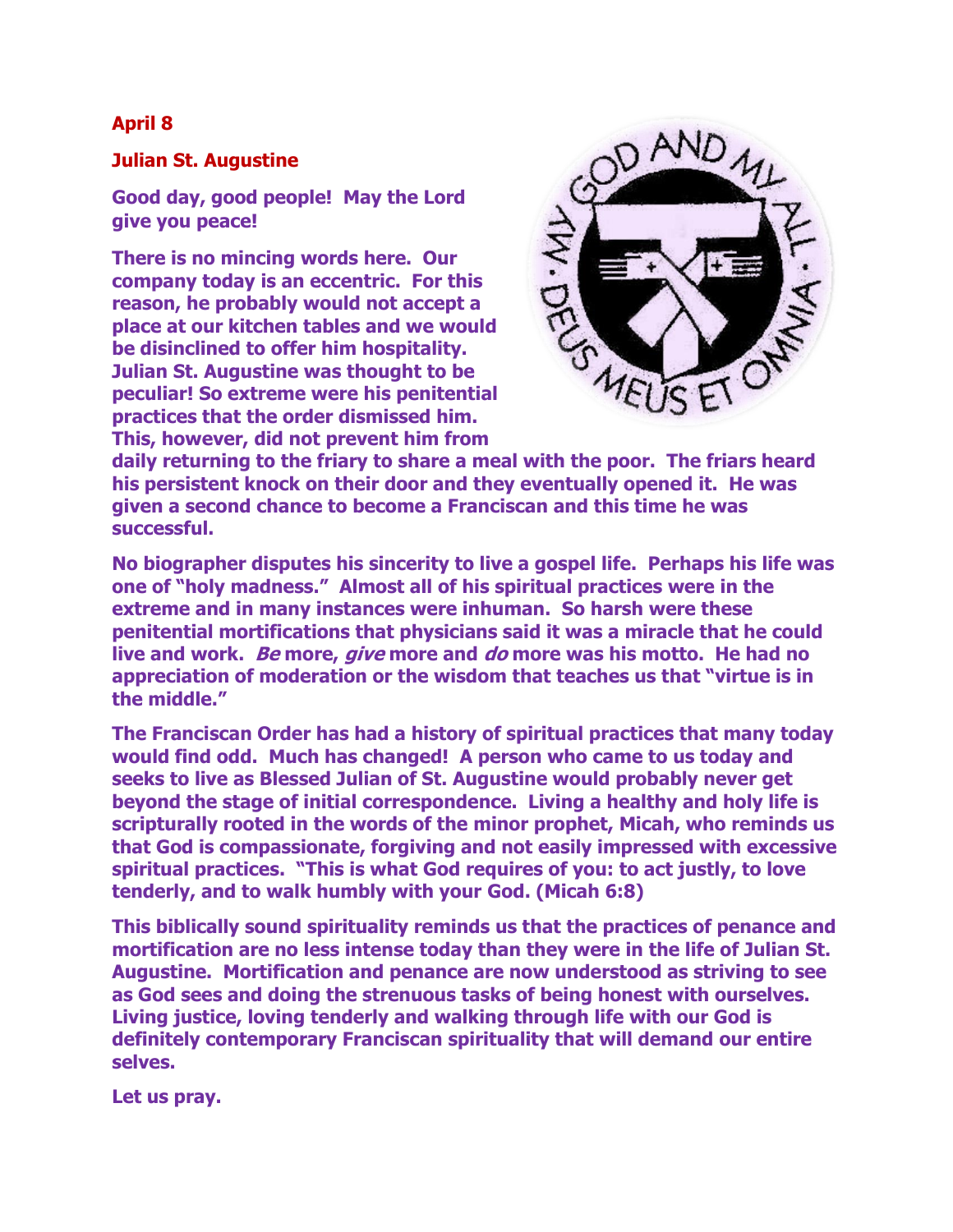## **April 8**

## **Julian St. Augustine**

**Good day, good people! May the Lord give you peace!**

**There is no mincing words here. Our company today is an eccentric. For this reason, he probably would not accept a place at our kitchen tables and we would be disinclined to offer him hospitality. Julian St. Augustine was thought to be peculiar! So extreme were his penitential practices that the order dismissed him. This, however, did not prevent him from** 



**daily returning to the friary to share a meal with the poor. The friars heard his persistent knock on their door and they eventually opened it. He was given a second chance to become a Franciscan and this time he was successful.**

**No biographer disputes his sincerity to live a gospel life. Perhaps his life was one of "holy madness." Almost all of his spiritual practices were in the extreme and in many instances were inhuman. So harsh were these penitential mortifications that physicians said it was a miracle that he could live and work. Be more, give more and do more was his motto. He had no appreciation of moderation or the wisdom that teaches us that "virtue is in the middle."** 

**The Franciscan Order has had a history of spiritual practices that many today would find odd. Much has changed! A person who came to us today and seeks to live as Blessed Julian of St. Augustine would probably never get beyond the stage of initial correspondence. Living a healthy and holy life is scripturally rooted in the words of the minor prophet, Micah, who reminds us that God is compassionate, forgiving and not easily impressed with excessive spiritual practices. "This is what God requires of you: to act justly, to love tenderly, and to walk humbly with your God. (Micah 6:8)**

**This biblically sound spirituality reminds us that the practices of penance and mortification are no less intense today than they were in the life of Julian St. Augustine. Mortification and penance are now understood as striving to see as God sees and doing the strenuous tasks of being honest with ourselves. Living justice, loving tenderly and walking through life with our God is definitely contemporary Franciscan spirituality that will demand our entire selves.** 

**Let us pray.**